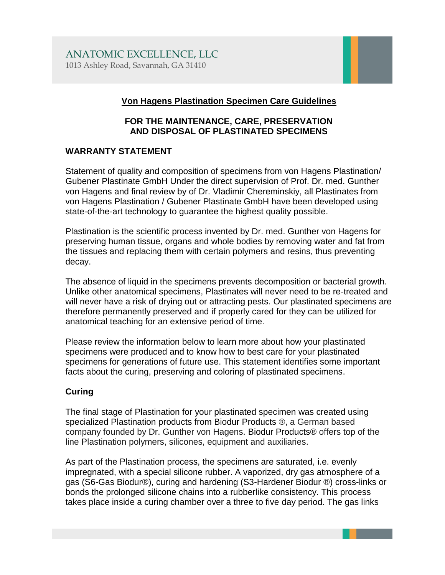### **Von Hagens Plastination Specimen Care Guidelines**

#### **FOR THE MAINTENANCE, CARE, PRESERVATION AND DISPOSAL OF PLASTINATED SPECIMENS**

#### **WARRANTY STATEMENT**

Statement of quality and composition of specimens from von Hagens Plastination/ Gubener Plastinate GmbH Under the direct supervision of Prof. Dr. med. Gunther von Hagens and final review by of Dr. Vladimir Chereminskiy, all Plastinates from von Hagens Plastination / Gubener Plastinate GmbH have been developed using state-of-the-art technology to guarantee the highest quality possible.

Plastination is the scientific process invented by Dr. med. Gunther von Hagens for preserving human tissue, organs and whole bodies by removing water and fat from the tissues and replacing them with certain polymers and resins, thus preventing decay.

The absence of liquid in the specimens prevents decomposition or bacterial growth. Unlike other anatomical specimens, Plastinates will never need to be re-treated and will never have a risk of drying out or attracting pests. Our plastinated specimens are therefore permanently preserved and if properly cared for they can be utilized for anatomical teaching for an extensive period of time.

Please review the information below to learn more about how your plastinated specimens were produced and to know how to best care for your plastinated specimens for generations of future use. This statement identifies some important facts about the curing, preserving and coloring of plastinated specimens.

# **Curing**

The final stage of Plastination for your plastinated specimen was created using specialized Plastination products from Biodur Products ®, a German based company founded by Dr. Gunther von Hagens. Biodur Products® offers top of the line Plastination polymers, silicones, equipment and auxiliaries.

As part of the Plastination process, the specimens are saturated, i.e. evenly impregnated, with a special silicone rubber. A vaporized, dry gas atmosphere of a gas (S6-Gas Biodur®), curing and hardening (S3-Hardener Biodur ®) cross-links or bonds the prolonged silicone chains into a rubberlike consistency. This process takes place inside a curing chamber over a three to five day period. The gas links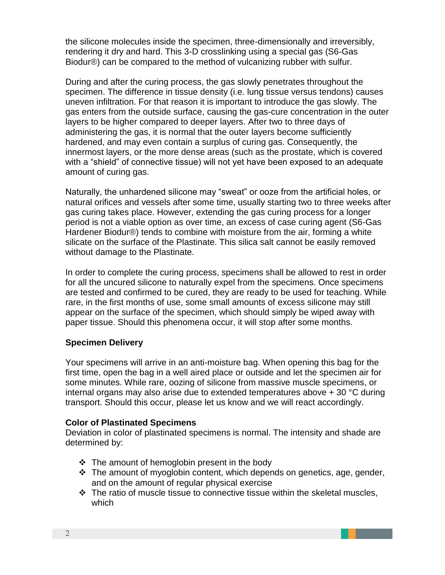the silicone molecules inside the specimen, three-dimensionally and irreversibly, rendering it dry and hard. This 3-D crosslinking using a special gas (S6-Gas Biodur®) can be compared to the method of vulcanizing rubber with sulfur.

During and after the curing process, the gas slowly penetrates throughout the specimen. The difference in tissue density (i.e. lung tissue versus tendons) causes uneven infiltration. For that reason it is important to introduce the gas slowly. The gas enters from the outside surface, causing the gas-cure concentration in the outer layers to be higher compared to deeper layers. After two to three days of administering the gas, it is normal that the outer layers become sufficiently hardened, and may even contain a surplus of curing gas. Consequently, the innermost layers, or the more dense areas (such as the prostate, which is covered with a "shield" of connective tissue) will not yet have been exposed to an adequate amount of curing gas.

Naturally, the unhardened silicone may "sweat" or ooze from the artificial holes, or natural orifices and vessels after some time, usually starting two to three weeks after gas curing takes place. However, extending the gas curing process for a longer period is not a viable option as over time, an excess of case curing agent (S6-Gas Hardener Biodur®) tends to combine with moisture from the air, forming a white silicate on the surface of the Plastinate. This silica salt cannot be easily removed without damage to the Plastinate.

In order to complete the curing process, specimens shall be allowed to rest in order for all the uncured silicone to naturally expel from the specimens. Once specimens are tested and confirmed to be cured, they are ready to be used for teaching. While rare, in the first months of use, some small amounts of excess silicone may still appear on the surface of the specimen, which should simply be wiped away with paper tissue. Should this phenomena occur, it will stop after some months.

#### **Specimen Delivery**

Your specimens will arrive in an anti-moisture bag. When opening this bag for the first time, open the bag in a well aired place or outside and let the specimen air for some minutes. While rare, oozing of silicone from massive muscle specimens, or internal organs may also arise due to extended temperatures above + 30 °C during transport. Should this occur, please let us know and we will react accordingly.

#### **Color of Plastinated Specimens**

Deviation in color of plastinated specimens is normal. The intensity and shade are determined by:

- ❖ The amount of hemoglobin present in the body
- ❖ The amount of myoglobin content, which depends on genetics, age, gender, and on the amount of regular physical exercise
- ❖ The ratio of muscle tissue to connective tissue within the skeletal muscles, which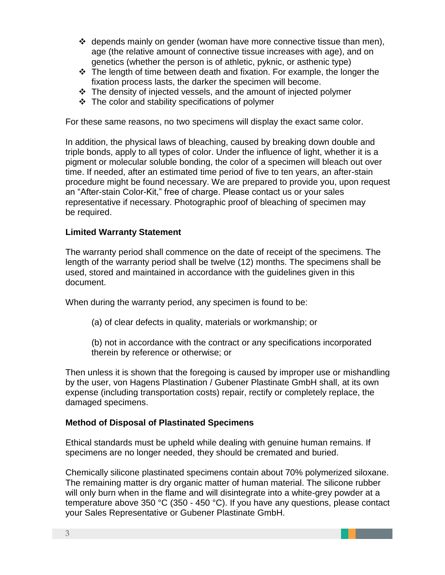- $\div$  depends mainly on gender (woman have more connective tissue than men), age (the relative amount of connective tissue increases with age), and on genetics (whether the person is of athletic, pyknic, or asthenic type)
- ❖ The length of time between death and fixation. For example, the longer the fixation process lasts, the darker the specimen will become.
- ❖ The density of injected vessels, and the amount of injected polymer
- $\div$  The color and stability specifications of polymer

For these same reasons, no two specimens will display the exact same color.

In addition, the physical laws of bleaching, caused by breaking down double and triple bonds, apply to all types of color. Under the influence of light, whether it is a pigment or molecular soluble bonding, the color of a specimen will bleach out over time. If needed, after an estimated time period of five to ten years, an after-stain procedure might be found necessary. We are prepared to provide you, upon request an "After-stain Color-Kit," free of charge. Please contact us or your sales representative if necessary. Photographic proof of bleaching of specimen may be required.

#### **Limited Warranty Statement**

The warranty period shall commence on the date of receipt of the specimens. The length of the warranty period shall be twelve (12) months. The specimens shall be used, stored and maintained in accordance with the guidelines given in this document.

When during the warranty period, any specimen is found to be:

(a) of clear defects in quality, materials or workmanship; or

(b) not in accordance with the contract or any specifications incorporated therein by reference or otherwise; or

Then unless it is shown that the foregoing is caused by improper use or mishandling by the user, von Hagens Plastination / Gubener Plastinate GmbH shall, at its own expense (including transportation costs) repair, rectify or completely replace, the damaged specimens.

#### **Method of Disposal of Plastinated Specimens**

Ethical standards must be upheld while dealing with genuine human remains. If specimens are no longer needed, they should be cremated and buried.

Chemically silicone plastinated specimens contain about 70% polymerized siloxane. The remaining matter is dry organic matter of human material. The silicone rubber will only burn when in the flame and will disintegrate into a white-grey powder at a temperature above 350 °C (350 - 450 °C). If you have any questions, please contact your Sales Representative or Gubener Plastinate GmbH.